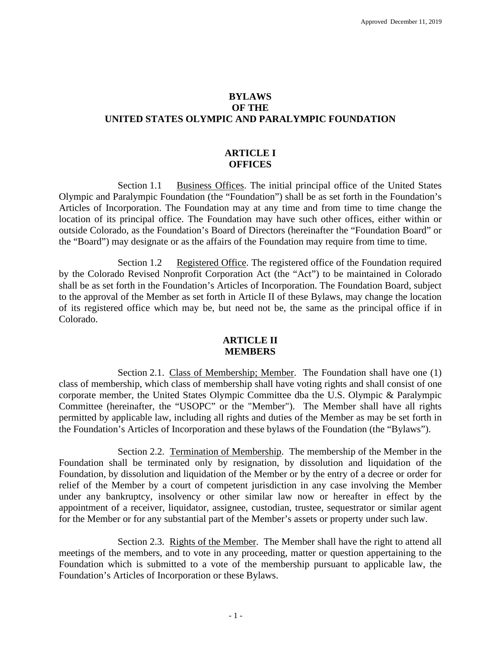# **BYLAWS OF THE UNITED STATES OLYMPIC AND PARALYMPIC FOUNDATION**

# **ARTICLE I OFFICES**

Section 1.1 Business Offices. The initial principal office of the United States Olympic and Paralympic Foundation (the "Foundation") shall be as set forth in the Foundation's Articles of Incorporation. The Foundation may at any time and from time to time change the location of its principal office. The Foundation may have such other offices, either within or outside Colorado, as the Foundation's Board of Directors (hereinafter the "Foundation Board" or the "Board") may designate or as the affairs of the Foundation may require from time to time.

Section 1.2 Registered Office. The registered office of the Foundation required by the Colorado Revised Nonprofit Corporation Act (the "Act") to be maintained in Colorado shall be as set forth in the Foundation's Articles of Incorporation. The Foundation Board, subject to the approval of the Member as set forth in Article II of these Bylaws, may change the location of its registered office which may be, but need not be, the same as the principal office if in Colorado.

### **ARTICLE II MEMBERS**

Section 2.1. Class of Membership; Member. The Foundation shall have one (1) class of membership, which class of membership shall have voting rights and shall consist of one corporate member, the United States Olympic Committee dba the U.S. Olympic & Paralympic Committee (hereinafter, the "USOPC" or the "Member"). The Member shall have all rights permitted by applicable law, including all rights and duties of the Member as may be set forth in the Foundation's Articles of Incorporation and these bylaws of the Foundation (the "Bylaws").

Section 2.2. Termination of Membership. The membership of the Member in the Foundation shall be terminated only by resignation, by dissolution and liquidation of the Foundation, by dissolution and liquidation of the Member or by the entry of a decree or order for relief of the Member by a court of competent jurisdiction in any case involving the Member under any bankruptcy, insolvency or other similar law now or hereafter in effect by the appointment of a receiver, liquidator, assignee, custodian, trustee, sequestrator or similar agent for the Member or for any substantial part of the Member's assets or property under such law.

Section 2.3. Rights of the Member. The Member shall have the right to attend all meetings of the members, and to vote in any proceeding, matter or question appertaining to the Foundation which is submitted to a vote of the membership pursuant to applicable law, the Foundation's Articles of Incorporation or these Bylaws.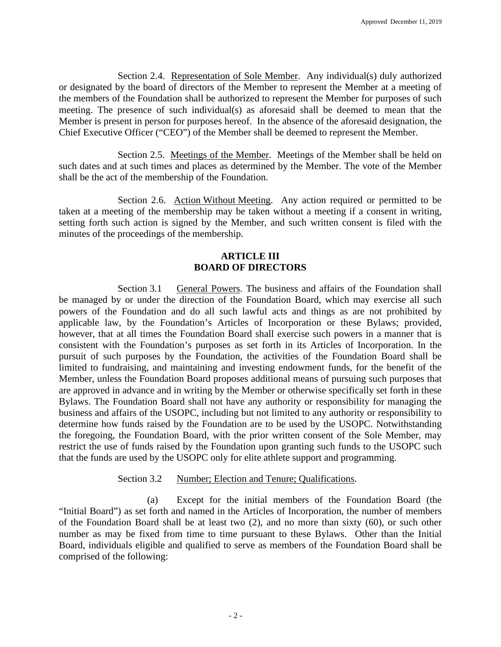Section 2.4. Representation of Sole Member. Any individual(s) duly authorized or designated by the board of directors of the Member to represent the Member at a meeting of the members of the Foundation shall be authorized to represent the Member for purposes of such meeting. The presence of such individual(s) as aforesaid shall be deemed to mean that the Member is present in person for purposes hereof. In the absence of the aforesaid designation, the Chief Executive Officer ("CEO") of the Member shall be deemed to represent the Member.

Section 2.5. Meetings of the Member. Meetings of the Member shall be held on such dates and at such times and places as determined by the Member. The vote of the Member shall be the act of the membership of the Foundation.

Section 2.6. Action Without Meeting. Any action required or permitted to be taken at a meeting of the membership may be taken without a meeting if a consent in writing, setting forth such action is signed by the Member, and such written consent is filed with the minutes of the proceedings of the membership.

# **ARTICLE III BOARD OF DIRECTORS**

Section 3.1 General Powers. The business and affairs of the Foundation shall be managed by or under the direction of the Foundation Board, which may exercise all such powers of the Foundation and do all such lawful acts and things as are not prohibited by applicable law, by the Foundation's Articles of Incorporation or these Bylaws; provided, however, that at all times the Foundation Board shall exercise such powers in a manner that is consistent with the Foundation's purposes as set forth in its Articles of Incorporation. In the pursuit of such purposes by the Foundation, the activities of the Foundation Board shall be limited to fundraising, and maintaining and investing endowment funds, for the benefit of the Member, unless the Foundation Board proposes additional means of pursuing such purposes that are approved in advance and in writing by the Member or otherwise specifically set forth in these Bylaws. The Foundation Board shall not have any authority or responsibility for managing the business and affairs of the USOPC, including but not limited to any authority or responsibility to determine how funds raised by the Foundation are to be used by the USOPC. Notwithstanding the foregoing, the Foundation Board, with the prior written consent of the Sole Member, may restrict the use of funds raised by the Foundation upon granting such funds to the USOPC such that the funds are used by the USOPC only for elite athlete support and programming.

#### Section 3.2 Number; Election and Tenure; Qualifications.

(a) Except for the initial members of the Foundation Board (the "Initial Board") as set forth and named in the Articles of Incorporation, the number of members of the Foundation Board shall be at least two (2), and no more than sixty (60), or such other number as may be fixed from time to time pursuant to these Bylaws. Other than the Initial Board, individuals eligible and qualified to serve as members of the Foundation Board shall be comprised of the following: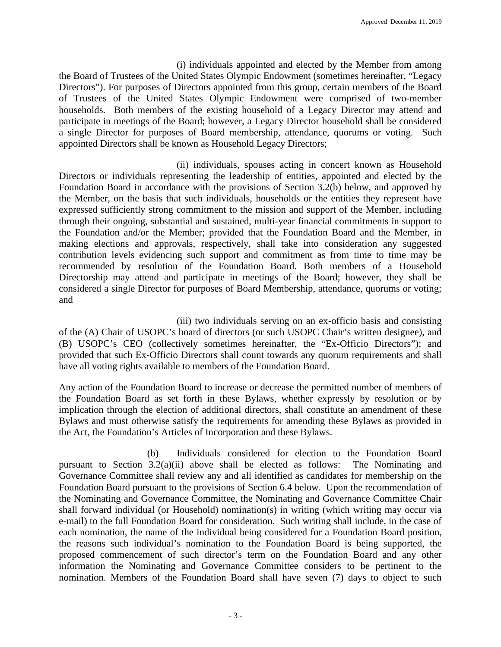(i) individuals appointed and elected by the Member from among the Board of Trustees of the United States Olympic Endowment (sometimes hereinafter, "Legacy Directors"). For purposes of Directors appointed from this group, certain members of the Board of Trustees of the United States Olympic Endowment were comprised of two-member households. Both members of the existing household of a Legacy Director may attend and participate in meetings of the Board; however, a Legacy Director household shall be considered a single Director for purposes of Board membership, attendance, quorums or voting. Such appointed Directors shall be known as Household Legacy Directors;

(ii) individuals, spouses acting in concert known as Household Directors or individuals representing the leadership of entities, appointed and elected by the Foundation Board in accordance with the provisions of Section 3.2(b) below, and approved by the Member, on the basis that such individuals, households or the entities they represent have expressed sufficiently strong commitment to the mission and support of the Member, including through their ongoing, substantial and sustained, multi-year financial commitments in support to the Foundation and/or the Member; provided that the Foundation Board and the Member, in making elections and approvals, respectively, shall take into consideration any suggested contribution levels evidencing such support and commitment as from time to time may be recommended by resolution of the Foundation Board. Both members of a Household Directorship may attend and participate in meetings of the Board; however, they shall be considered a single Director for purposes of Board Membership, attendance, quorums or voting; and

(iii) two individuals serving on an ex-officio basis and consisting of the (A) Chair of USOPC's board of directors (or such USOPC Chair's written designee), and (B) USOPC's CEO (collectively sometimes hereinafter, the "Ex-Officio Directors"); and provided that such Ex-Officio Directors shall count towards any quorum requirements and shall have all voting rights available to members of the Foundation Board.

Any action of the Foundation Board to increase or decrease the permitted number of members of the Foundation Board as set forth in these Bylaws, whether expressly by resolution or by implication through the election of additional directors, shall constitute an amendment of these Bylaws and must otherwise satisfy the requirements for amending these Bylaws as provided in the Act, the Foundation's Articles of Incorporation and these Bylaws.

(b) Individuals considered for election to the Foundation Board pursuant to Section 3.2(a)(ii) above shall be elected as follows: The Nominating and Governance Committee shall review any and all identified as candidates for membership on the Foundation Board pursuant to the provisions of Section 6.4 below. Upon the recommendation of the Nominating and Governance Committee, the Nominating and Governance Committee Chair shall forward individual (or Household) nomination(s) in writing (which writing may occur via e-mail) to the full Foundation Board for consideration. Such writing shall include, in the case of each nomination, the name of the individual being considered for a Foundation Board position, the reasons such individual's nomination to the Foundation Board is being supported, the proposed commencement of such director's term on the Foundation Board and any other information the Nominating and Governance Committee considers to be pertinent to the nomination. Members of the Foundation Board shall have seven (7) days to object to such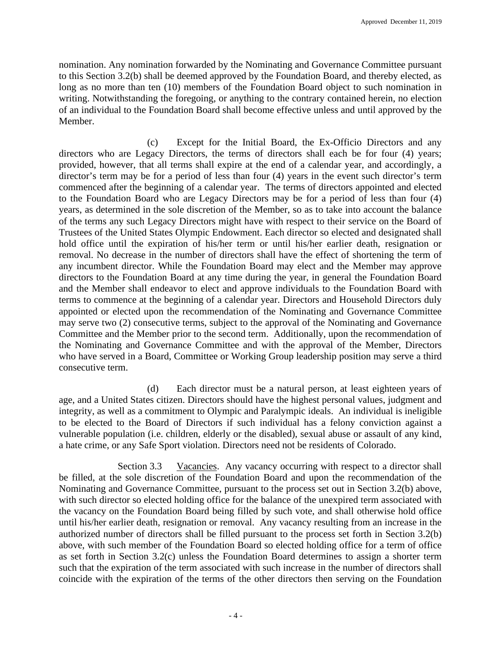nomination. Any nomination forwarded by the Nominating and Governance Committee pursuant to this Section 3.2(b) shall be deemed approved by the Foundation Board, and thereby elected, as long as no more than ten (10) members of the Foundation Board object to such nomination in writing. Notwithstanding the foregoing, or anything to the contrary contained herein, no election of an individual to the Foundation Board shall become effective unless and until approved by the Member.

(c) Except for the Initial Board, the Ex-Officio Directors and any directors who are Legacy Directors, the terms of directors shall each be for four (4) years; provided, however, that all terms shall expire at the end of a calendar year, and accordingly, a director's term may be for a period of less than four (4) years in the event such director's term commenced after the beginning of a calendar year. The terms of directors appointed and elected to the Foundation Board who are Legacy Directors may be for a period of less than four (4) years, as determined in the sole discretion of the Member, so as to take into account the balance of the terms any such Legacy Directors might have with respect to their service on the Board of Trustees of the United States Olympic Endowment. Each director so elected and designated shall hold office until the expiration of his/her term or until his/her earlier death, resignation or removal. No decrease in the number of directors shall have the effect of shortening the term of any incumbent director. While the Foundation Board may elect and the Member may approve directors to the Foundation Board at any time during the year, in general the Foundation Board and the Member shall endeavor to elect and approve individuals to the Foundation Board with terms to commence at the beginning of a calendar year. Directors and Household Directors duly appointed or elected upon the recommendation of the Nominating and Governance Committee may serve two (2) consecutive terms, subject to the approval of the Nominating and Governance Committee and the Member prior to the second term. Additionally, upon the recommendation of the Nominating and Governance Committee and with the approval of the Member, Directors who have served in a Board, Committee or Working Group leadership position may serve a third consecutive term.

(d) Each director must be a natural person, at least eighteen years of age, and a United States citizen. Directors should have the highest personal values, judgment and integrity, as well as a commitment to Olympic and Paralympic ideals. An individual is ineligible to be elected to the Board of Directors if such individual has a felony conviction against a vulnerable population (i.e. children, elderly or the disabled), sexual abuse or assault of any kind, a hate crime, or any Safe Sport violation. Directors need not be residents of Colorado.

Section 3.3 Vacancies. Any vacancy occurring with respect to a director shall be filled, at the sole discretion of the Foundation Board and upon the recommendation of the Nominating and Governance Committee, pursuant to the process set out in Section 3.2(b) above, with such director so elected holding office for the balance of the unexpired term associated with the vacancy on the Foundation Board being filled by such vote, and shall otherwise hold office until his/her earlier death, resignation or removal. Any vacancy resulting from an increase in the authorized number of directors shall be filled pursuant to the process set forth in Section 3.2(b) above, with such member of the Foundation Board so elected holding office for a term of office as set forth in Section 3.2(c) unless the Foundation Board determines to assign a shorter term such that the expiration of the term associated with such increase in the number of directors shall coincide with the expiration of the terms of the other directors then serving on the Foundation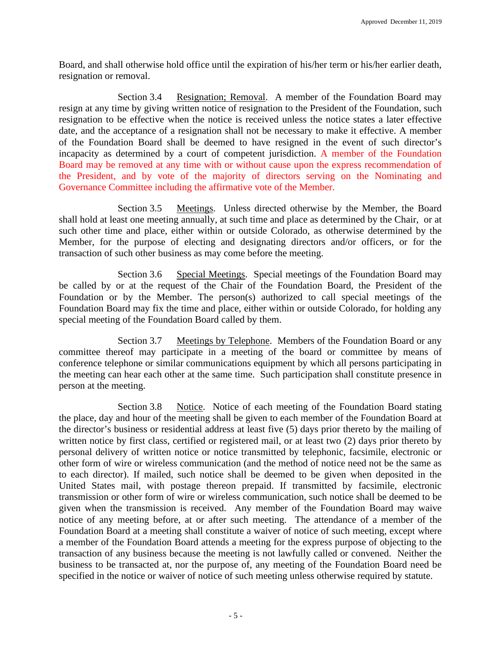Board, and shall otherwise hold office until the expiration of his/her term or his/her earlier death, resignation or removal.

Section 3.4 Resignation; Removal. A member of the Foundation Board may resign at any time by giving written notice of resignation to the President of the Foundation, such resignation to be effective when the notice is received unless the notice states a later effective date, and the acceptance of a resignation shall not be necessary to make it effective. A member of the Foundation Board shall be deemed to have resigned in the event of such director's incapacity as determined by a court of competent jurisdiction. A member of the Foundation Board may be removed at any time with or without cause upon the express recommendation of the President, and by vote of the majority of directors serving on the Nominating and Governance Committee including the affirmative vote of the Member.

Section 3.5 Meetings. Unless directed otherwise by the Member, the Board shall hold at least one meeting annually, at such time and place as determined by the Chair, or at such other time and place, either within or outside Colorado, as otherwise determined by the Member, for the purpose of electing and designating directors and/or officers, or for the transaction of such other business as may come before the meeting.

Section 3.6 Special Meetings. Special meetings of the Foundation Board may be called by or at the request of the Chair of the Foundation Board, the President of the Foundation or by the Member. The person(s) authorized to call special meetings of the Foundation Board may fix the time and place, either within or outside Colorado, for holding any special meeting of the Foundation Board called by them.

Section 3.7 Meetings by Telephone. Members of the Foundation Board or any committee thereof may participate in a meeting of the board or committee by means of conference telephone or similar communications equipment by which all persons participating in the meeting can hear each other at the same time. Such participation shall constitute presence in person at the meeting.

Section 3.8 Notice. Notice of each meeting of the Foundation Board stating the place, day and hour of the meeting shall be given to each member of the Foundation Board at the director's business or residential address at least five (5) days prior thereto by the mailing of written notice by first class, certified or registered mail, or at least two (2) days prior thereto by personal delivery of written notice or notice transmitted by telephonic, facsimile, electronic or other form of wire or wireless communication (and the method of notice need not be the same as to each director). If mailed, such notice shall be deemed to be given when deposited in the United States mail, with postage thereon prepaid. If transmitted by facsimile, electronic transmission or other form of wire or wireless communication, such notice shall be deemed to be given when the transmission is received. Any member of the Foundation Board may waive notice of any meeting before, at or after such meeting. The attendance of a member of the Foundation Board at a meeting shall constitute a waiver of notice of such meeting, except where a member of the Foundation Board attends a meeting for the express purpose of objecting to the transaction of any business because the meeting is not lawfully called or convened. Neither the business to be transacted at, nor the purpose of, any meeting of the Foundation Board need be specified in the notice or waiver of notice of such meeting unless otherwise required by statute.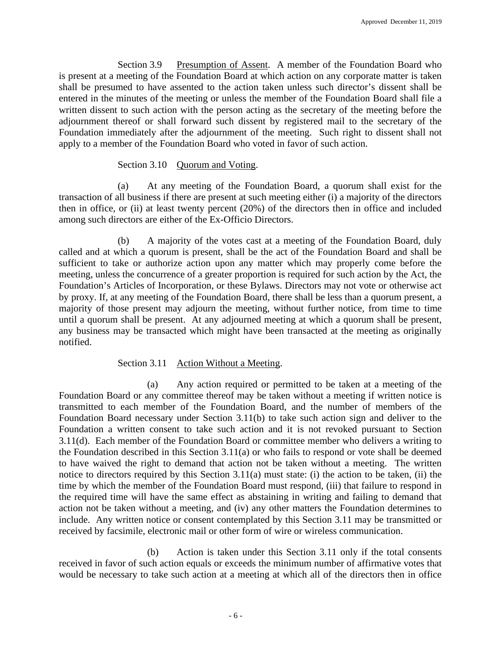Section 3.9 Presumption of Assent. A member of the Foundation Board who is present at a meeting of the Foundation Board at which action on any corporate matter is taken shall be presumed to have assented to the action taken unless such director's dissent shall be entered in the minutes of the meeting or unless the member of the Foundation Board shall file a written dissent to such action with the person acting as the secretary of the meeting before the adjournment thereof or shall forward such dissent by registered mail to the secretary of the Foundation immediately after the adjournment of the meeting. Such right to dissent shall not apply to a member of the Foundation Board who voted in favor of such action.

# Section 3.10 Quorum and Voting.

(a) At any meeting of the Foundation Board, a quorum shall exist for the transaction of all business if there are present at such meeting either (i) a majority of the directors then in office, or (ii) at least twenty percent (20%) of the directors then in office and included among such directors are either of the Ex-Officio Directors.

(b) A majority of the votes cast at a meeting of the Foundation Board, duly called and at which a quorum is present, shall be the act of the Foundation Board and shall be sufficient to take or authorize action upon any matter which may properly come before the meeting, unless the concurrence of a greater proportion is required for such action by the Act, the Foundation's Articles of Incorporation, or these Bylaws. Directors may not vote or otherwise act by proxy. If, at any meeting of the Foundation Board, there shall be less than a quorum present, a majority of those present may adjourn the meeting, without further notice, from time to time until a quorum shall be present. At any adjourned meeting at which a quorum shall be present, any business may be transacted which might have been transacted at the meeting as originally notified.

# Section 3.11 Action Without a Meeting.

(a) Any action required or permitted to be taken at a meeting of the Foundation Board or any committee thereof may be taken without a meeting if written notice is transmitted to each member of the Foundation Board, and the number of members of the Foundation Board necessary under Section 3.11(b) to take such action sign and deliver to the Foundation a written consent to take such action and it is not revoked pursuant to Section 3.11(d). Each member of the Foundation Board or committee member who delivers a writing to the Foundation described in this Section 3.11(a) or who fails to respond or vote shall be deemed to have waived the right to demand that action not be taken without a meeting. The written notice to directors required by this Section 3.11(a) must state: (i) the action to be taken, (ii) the time by which the member of the Foundation Board must respond, (iii) that failure to respond in the required time will have the same effect as abstaining in writing and failing to demand that action not be taken without a meeting, and (iv) any other matters the Foundation determines to include. Any written notice or consent contemplated by this Section 3.11 may be transmitted or received by facsimile, electronic mail or other form of wire or wireless communication.

(b) Action is taken under this Section 3.11 only if the total consents received in favor of such action equals or exceeds the minimum number of affirmative votes that would be necessary to take such action at a meeting at which all of the directors then in office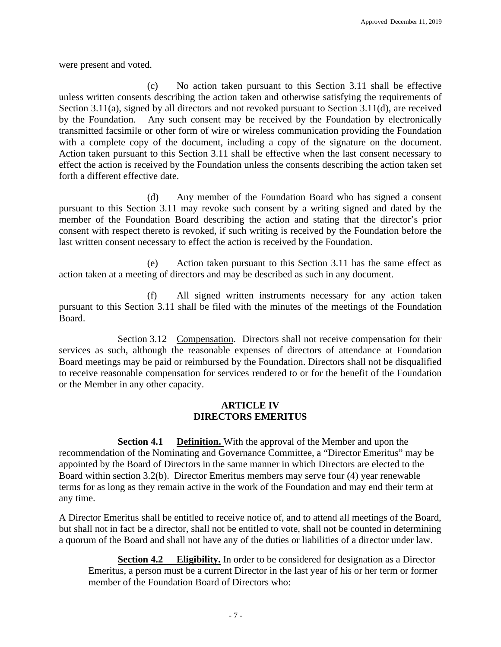were present and voted.

(c) No action taken pursuant to this Section 3.11 shall be effective unless written consents describing the action taken and otherwise satisfying the requirements of Section 3.11(a), signed by all directors and not revoked pursuant to Section 3.11(d), are received by the Foundation. Any such consent may be received by the Foundation by electronically transmitted facsimile or other form of wire or wireless communication providing the Foundation with a complete copy of the document, including a copy of the signature on the document. Action taken pursuant to this Section 3.11 shall be effective when the last consent necessary to effect the action is received by the Foundation unless the consents describing the action taken set forth a different effective date.

(d) Any member of the Foundation Board who has signed a consent pursuant to this Section 3.11 may revoke such consent by a writing signed and dated by the member of the Foundation Board describing the action and stating that the director's prior consent with respect thereto is revoked, if such writing is received by the Foundation before the last written consent necessary to effect the action is received by the Foundation.

(e) Action taken pursuant to this Section 3.11 has the same effect as action taken at a meeting of directors and may be described as such in any document.

(f) All signed written instruments necessary for any action taken pursuant to this Section 3.11 shall be filed with the minutes of the meetings of the Foundation Board.

Section 3.12 Compensation. Directors shall not receive compensation for their services as such, although the reasonable expenses of directors of attendance at Foundation Board meetings may be paid or reimbursed by the Foundation. Directors shall not be disqualified to receive reasonable compensation for services rendered to or for the benefit of the Foundation or the Member in any other capacity.

#### **ARTICLE IV DIRECTORS EMERITUS**

**Section 4.1 Definition.** With the approval of the Member and upon the recommendation of the Nominating and Governance Committee, a "Director Emeritus" may be appointed by the Board of Directors in the same manner in which Directors are elected to the Board within section 3.2(b). Director Emeritus members may serve four (4) year renewable terms for as long as they remain active in the work of the Foundation and may end their term at any time.

A Director Emeritus shall be entitled to receive notice of, and to attend all meetings of the Board, but shall not in fact be a director, shall not be entitled to vote, shall not be counted in determining a quorum of the Board and shall not have any of the duties or liabilities of a director under law.

**Section 4.2 Eligibility.** In order to be considered for designation as a Director Emeritus, a person must be a current Director in the last year of his or her term or former member of the Foundation Board of Directors who: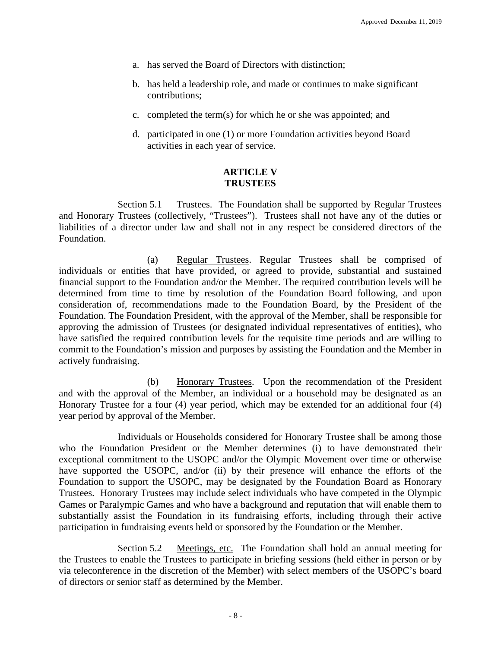- a. has served the Board of Directors with distinction;
- b. has held a leadership role, and made or continues to make significant contributions;
- c. completed the term(s) for which he or she was appointed; and
- d. participated in one (1) or more Foundation activities beyond Board activities in each year of service.

## **ARTICLE V TRUSTEES**

Section 5.1 Trustees. The Foundation shall be supported by Regular Trustees and Honorary Trustees (collectively, "Trustees"). Trustees shall not have any of the duties or liabilities of a director under law and shall not in any respect be considered directors of the Foundation.

(a) Regular Trustees. Regular Trustees shall be comprised of individuals or entities that have provided, or agreed to provide, substantial and sustained financial support to the Foundation and/or the Member. The required contribution levels will be determined from time to time by resolution of the Foundation Board following, and upon consideration of, recommendations made to the Foundation Board, by the President of the Foundation. The Foundation President, with the approval of the Member, shall be responsible for approving the admission of Trustees (or designated individual representatives of entities), who have satisfied the required contribution levels for the requisite time periods and are willing to commit to the Foundation's mission and purposes by assisting the Foundation and the Member in actively fundraising.

(b) Honorary Trustees. Upon the recommendation of the President and with the approval of the Member, an individual or a household may be designated as an Honorary Trustee for a four (4) year period, which may be extended for an additional four (4) year period by approval of the Member.

Individuals or Households considered for Honorary Trustee shall be among those who the Foundation President or the Member determines (i) to have demonstrated their exceptional commitment to the USOPC and/or the Olympic Movement over time or otherwise have supported the USOPC, and/or (ii) by their presence will enhance the efforts of the Foundation to support the USOPC, may be designated by the Foundation Board as Honorary Trustees. Honorary Trustees may include select individuals who have competed in the Olympic Games or Paralympic Games and who have a background and reputation that will enable them to substantially assist the Foundation in its fundraising efforts, including through their active participation in fundraising events held or sponsored by the Foundation or the Member.

Section 5.2 Meetings, etc. The Foundation shall hold an annual meeting for the Trustees to enable the Trustees to participate in briefing sessions (held either in person or by via teleconference in the discretion of the Member) with select members of the USOPC's board of directors or senior staff as determined by the Member.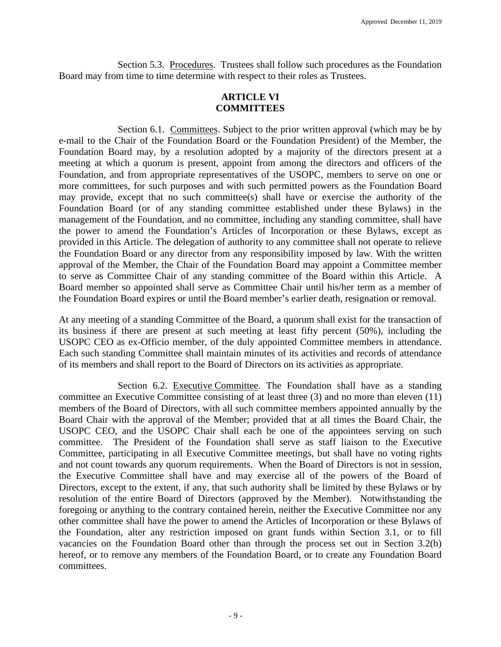Section 5.3. Procedures. Trustees shall follow such procedures as the Foundation Board may from time to time determine with respect to their roles as Trustees.

# **ARTICLE VI COMMITTEES**

Section 6.1. Committees. Subject to the prior written approval (which may be by e-mail to the Chair of the Foundation Board or the Foundation President) of the Member, the Foundation Board may, by a resolution adopted by a majority of the directors present at a meeting at which a quorum is present, appoint from among the directors and officers of the Foundation, and from appropriate representatives of the USOPC, members to serve on one or more committees, for such purposes and with such permitted powers as the Foundation Board may provide, except that no such committee(s) shall have or exercise the authority of the Foundation Board (or of any standing committee established under these Bylaws) in the management of the Foundation, and no committee, including any standing committee, shall have the power to amend the Foundation's Articles of Incorporation or these Bylaws, except as provided in this Article. The delegation of authority to any committee shall not operate to relieve the Foundation Board or any director from any responsibility imposed by law. With the written approval of the Member, the Chair of the Foundation Board may appoint a Committee member to serve as Committee Chair of any standing committee of the Board within this Article. A Board member so appointed shall serve as Committee Chair until his/her term as a member of the Foundation Board expires or until the Board member's earlier death, resignation or removal.

At any meeting of a standing Committee of the Board, a quorum shall exist for the transaction of its business if there are present at such meeting at least fifty percent (50%), including the USOPC CEO as ex-Officio member, of the duly appointed Committee members in attendance. Each such standing Committee shall maintain minutes of its activities and records of attendance of its members and shall report to the Board of Directors on its activities as appropriate.

Section 6.2. Executive Committee. The Foundation shall have as a standing committee an Executive Committee consisting of at least three (3) and no more than eleven (11) members of the Board of Directors, with all such committee members appointed annually by the Board Chair with the approval of the Member; provided that at all times the Board Chair, the USOPC CEO, and the USOPC Chair shall each be one of the appointees serving on such committee. The President of the Foundation shall serve as staff liaison to the Executive Committee, participating in all Executive Committee meetings, but shall have no voting rights and not count towards any quorum requirements. When the Board of Directors is not in session, the Executive Committee shall have and may exercise all of the powers of the Board of Directors, except to the extent, if any, that such authority shall be limited by these Bylaws or by resolution of the entire Board of Directors (approved by the Member). Notwithstanding the foregoing or anything to the contrary contained herein, neither the Executive Committee nor any other committee shall have the power to amend the Articles of Incorporation or these Bylaws of the Foundation, alter any restriction imposed on grant funds within Section 3.1, or to fill vacancies on the Foundation Board other than through the process set out in Section 3.2(b) hereof, or to remove any members of the Foundation Board, or to create any Foundation Board committees.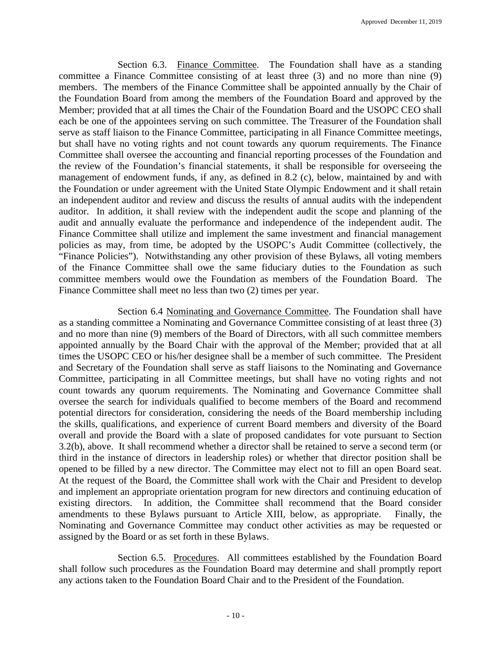Section 6.3. Finance Committee. The Foundation shall have as a standing committee a Finance Committee consisting of at least three (3) and no more than nine (9) members. The members of the Finance Committee shall be appointed annually by the Chair of the Foundation Board from among the members of the Foundation Board and approved by the Member; provided that at all times the Chair of the Foundation Board and the USOPC CEO shall each be one of the appointees serving on such committee. The Treasurer of the Foundation shall serve as staff liaison to the Finance Committee, participating in all Finance Committee meetings, but shall have no voting rights and not count towards any quorum requirements. The Finance Committee shall oversee the accounting and financial reporting processes of the Foundation and the review of the Foundation's financial statements, it shall be responsible for overseeing the management of endowment funds, if any, as defined in 8.2 (c), below, maintained by and with the Foundation or under agreement with the United State Olympic Endowment and it shall retain an independent auditor and review and discuss the results of annual audits with the independent auditor. In addition, it shall review with the independent audit the scope and planning of the audit and annually evaluate the performance and independence of the independent audit. The Finance Committee shall utilize and implement the same investment and financial management policies as may, from time, be adopted by the USOPC's Audit Committee (collectively, the "Finance Policies"). Notwithstanding any other provision of these Bylaws, all voting members of the Finance Committee shall owe the same fiduciary duties to the Foundation as such committee members would owe the Foundation as members of the Foundation Board. The Finance Committee shall meet no less than two (2) times per year.

Section 6.4 Nominating and Governance Committee. The Foundation shall have as a standing committee a Nominating and Governance Committee consisting of at least three (3) and no more than nine (9) members of the Board of Directors, with all such committee members appointed annually by the Board Chair with the approval of the Member; provided that at all times the USOPC CEO or his/her designee shall be a member of such committee. The President and Secretary of the Foundation shall serve as staff liaisons to the Nominating and Governance Committee, participating in all Committee meetings, but shall have no voting rights and not count towards any quorum requirements. The Nominating and Governance Committee shall oversee the search for individuals qualified to become members of the Board and recommend potential directors for consideration, considering the needs of the Board membership including the skills, qualifications, and experience of current Board members and diversity of the Board overall and provide the Board with a slate of proposed candidates for vote pursuant to Section 3.2(b), above. It shall recommend whether a director shall be retained to serve a second term (or third in the instance of directors in leadership roles) or whether that director position shall be opened to be filled by a new director. The Committee may elect not to fill an open Board seat. At the request of the Board, the Committee shall work with the Chair and President to develop and implement an appropriate orientation program for new directors and continuing education of existing directors. In addition, the Committee shall recommend that the Board consider amendments to these Bylaws pursuant to Article XIII, below, as appropriate. Finally, the Nominating and Governance Committee may conduct other activities as may be requested or assigned by the Board or as set forth in these Bylaws.

Section 6.5. Procedures. All committees established by the Foundation Board shall follow such procedures as the Foundation Board may determine and shall promptly report any actions taken to the Foundation Board Chair and to the President of the Foundation.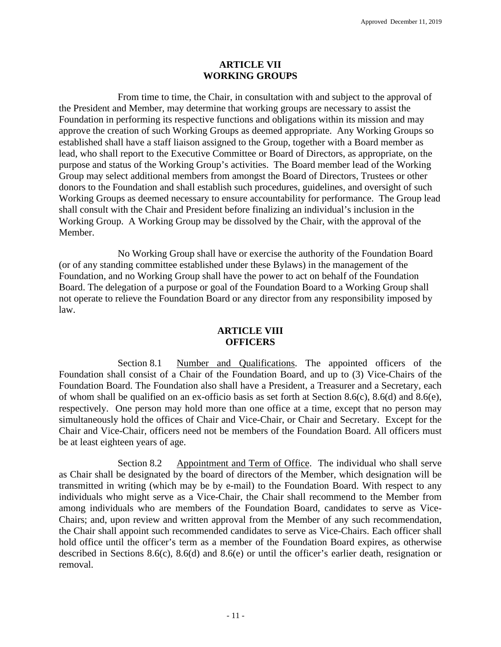#### **ARTICLE VII WORKING GROUPS**

From time to time, the Chair, in consultation with and subject to the approval of the President and Member, may determine that working groups are necessary to assist the Foundation in performing its respective functions and obligations within its mission and may approve the creation of such Working Groups as deemed appropriate. Any Working Groups so established shall have a staff liaison assigned to the Group, together with a Board member as lead, who shall report to the Executive Committee or Board of Directors, as appropriate, on the purpose and status of the Working Group's activities. The Board member lead of the Working Group may select additional members from amongst the Board of Directors, Trustees or other donors to the Foundation and shall establish such procedures, guidelines, and oversight of such Working Groups as deemed necessary to ensure accountability for performance. The Group lead shall consult with the Chair and President before finalizing an individual's inclusion in the Working Group. A Working Group may be dissolved by the Chair, with the approval of the Member.

No Working Group shall have or exercise the authority of the Foundation Board (or of any standing committee established under these Bylaws) in the management of the Foundation, and no Working Group shall have the power to act on behalf of the Foundation Board. The delegation of a purpose or goal of the Foundation Board to a Working Group shall not operate to relieve the Foundation Board or any director from any responsibility imposed by law.

# **ARTICLE VIII OFFICERS**

Section 8.1 Number and Qualifications. The appointed officers of the Foundation shall consist of a Chair of the Foundation Board, and up to (3) Vice-Chairs of the Foundation Board. The Foundation also shall have a President, a Treasurer and a Secretary, each of whom shall be qualified on an ex-officio basis as set forth at Section 8.6(c), 8.6(d) and 8.6(e), respectively. One person may hold more than one office at a time, except that no person may simultaneously hold the offices of Chair and Vice-Chair, or Chair and Secretary. Except for the Chair and Vice-Chair, officers need not be members of the Foundation Board. All officers must be at least eighteen years of age.

Section 8.2 Appointment and Term of Office. The individual who shall serve as Chair shall be designated by the board of directors of the Member, which designation will be transmitted in writing (which may be by e-mail) to the Foundation Board. With respect to any individuals who might serve as a Vice-Chair, the Chair shall recommend to the Member from among individuals who are members of the Foundation Board, candidates to serve as Vice-Chairs; and, upon review and written approval from the Member of any such recommendation, the Chair shall appoint such recommended candidates to serve as Vice-Chairs. Each officer shall hold office until the officer's term as a member of the Foundation Board expires, as otherwise described in Sections 8.6(c), 8.6(d) and 8.6(e) or until the officer's earlier death, resignation or removal.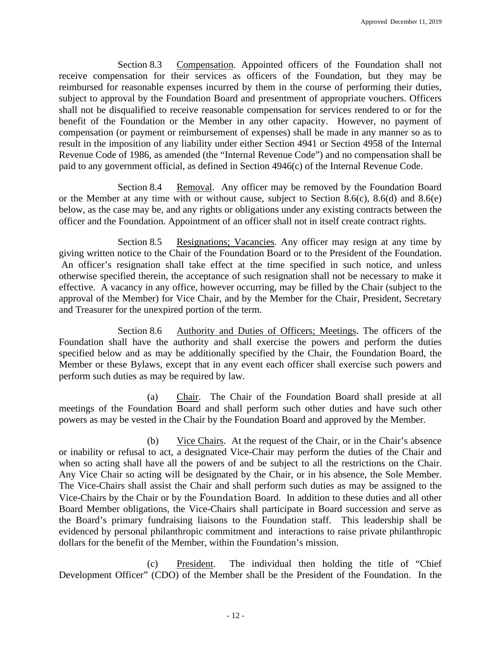Section 8.3 Compensation. Appointed officers of the Foundation shall not receive compensation for their services as officers of the Foundation, but they may be reimbursed for reasonable expenses incurred by them in the course of performing their duties, subject to approval by the Foundation Board and presentment of appropriate vouchers. Officers shall not be disqualified to receive reasonable compensation for services rendered to or for the benefit of the Foundation or the Member in any other capacity. However, no payment of compensation (or payment or reimbursement of expenses) shall be made in any manner so as to result in the imposition of any liability under either Section 4941 or Section 4958 of the Internal Revenue Code of 1986, as amended (the "Internal Revenue Code") and no compensation shall be paid to any government official, as defined in Section 4946(c) of the Internal Revenue Code.

Section 8.4 Removal. Any officer may be removed by the Foundation Board or the Member at any time with or without cause, subject to Section 8.6(c), 8.6(d) and 8.6(e) below, as the case may be, and any rights or obligations under any existing contracts between the officer and the Foundation. Appointment of an officer shall not in itself create contract rights.

Section 8.5 Resignations; Vacancies. Any officer may resign at any time by giving written notice to the Chair of the Foundation Board or to the President of the Foundation. An officer's resignation shall take effect at the time specified in such notice, and unless otherwise specified therein, the acceptance of such resignation shall not be necessary to make it effective. A vacancy in any office, however occurring, may be filled by the Chair (subject to the approval of the Member) for Vice Chair, and by the Member for the Chair, President, Secretary and Treasurer for the unexpired portion of the term.

Section 8.6 Authority and Duties of Officers; Meetings. The officers of the Foundation shall have the authority and shall exercise the powers and perform the duties specified below and as may be additionally specified by the Chair, the Foundation Board, the Member or these Bylaws, except that in any event each officer shall exercise such powers and perform such duties as may be required by law.

(a) Chair. The Chair of the Foundation Board shall preside at all meetings of the Foundation Board and shall perform such other duties and have such other powers as may be vested in the Chair by the Foundation Board and approved by the Member.

(b) Vice Chairs. At the request of the Chair, or in the Chair's absence or inability or refusal to act, a designated Vice-Chair may perform the duties of the Chair and when so acting shall have all the powers of and be subject to all the restrictions on the Chair. Any Vice Chair so acting will be designated by the Chair, or in his absence, the Sole Member. The Vice-Chairs shall assist the Chair and shall perform such duties as may be assigned to the Vice-Chairs by the Chair or by the Foundation Board. In addition to these duties and all other Board Member obligations, the Vice-Chairs shall participate in Board succession and serve as the Board's primary fundraising liaisons to the Foundation staff. This leadership shall be evidenced by personal philanthropic commitment and interactions to raise private philanthropic dollars for the benefit of the Member, within the Foundation's mission.

(c) President. The individual then holding the title of "Chief Development Officer" (CDO) of the Member shall be the President of the Foundation. In the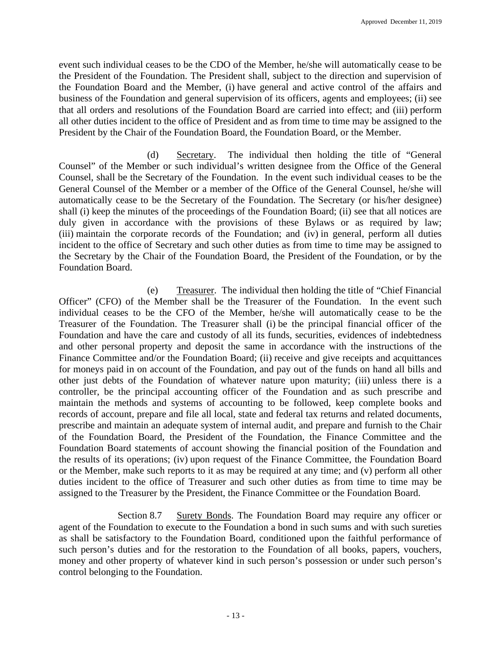event such individual ceases to be the CDO of the Member, he/she will automatically cease to be the President of the Foundation. The President shall, subject to the direction and supervision of the Foundation Board and the Member, (i) have general and active control of the affairs and business of the Foundation and general supervision of its officers, agents and employees; (ii) see that all orders and resolutions of the Foundation Board are carried into effect; and (iii) perform all other duties incident to the office of President and as from time to time may be assigned to the President by the Chair of the Foundation Board, the Foundation Board, or the Member.

(d) Secretary. The individual then holding the title of "General Counsel" of the Member or such individual's written designee from the Office of the General Counsel, shall be the Secretary of the Foundation. In the event such individual ceases to be the General Counsel of the Member or a member of the Office of the General Counsel, he/she will automatically cease to be the Secretary of the Foundation. The Secretary (or his/her designee) shall (i) keep the minutes of the proceedings of the Foundation Board; (ii) see that all notices are duly given in accordance with the provisions of these Bylaws or as required by law; (iii) maintain the corporate records of the Foundation; and (iv) in general, perform all duties incident to the office of Secretary and such other duties as from time to time may be assigned to the Secretary by the Chair of the Foundation Board, the President of the Foundation, or by the Foundation Board.

(e) Treasurer. The individual then holding the title of "Chief Financial Officer" (CFO) of the Member shall be the Treasurer of the Foundation. In the event such individual ceases to be the CFO of the Member, he/she will automatically cease to be the Treasurer of the Foundation. The Treasurer shall (i) be the principal financial officer of the Foundation and have the care and custody of all its funds, securities, evidences of indebtedness and other personal property and deposit the same in accordance with the instructions of the Finance Committee and/or the Foundation Board; (ii) receive and give receipts and acquittances for moneys paid in on account of the Foundation, and pay out of the funds on hand all bills and other just debts of the Foundation of whatever nature upon maturity; (iii) unless there is a controller, be the principal accounting officer of the Foundation and as such prescribe and maintain the methods and systems of accounting to be followed, keep complete books and records of account, prepare and file all local, state and federal tax returns and related documents, prescribe and maintain an adequate system of internal audit, and prepare and furnish to the Chair of the Foundation Board, the President of the Foundation, the Finance Committee and the Foundation Board statements of account showing the financial position of the Foundation and the results of its operations; (iv) upon request of the Finance Committee, the Foundation Board or the Member, make such reports to it as may be required at any time; and (v) perform all other duties incident to the office of Treasurer and such other duties as from time to time may be assigned to the Treasurer by the President, the Finance Committee or the Foundation Board.

Section 8.7 Surety Bonds. The Foundation Board may require any officer or agent of the Foundation to execute to the Foundation a bond in such sums and with such sureties as shall be satisfactory to the Foundation Board, conditioned upon the faithful performance of such person's duties and for the restoration to the Foundation of all books, papers, vouchers, money and other property of whatever kind in such person's possession or under such person's control belonging to the Foundation.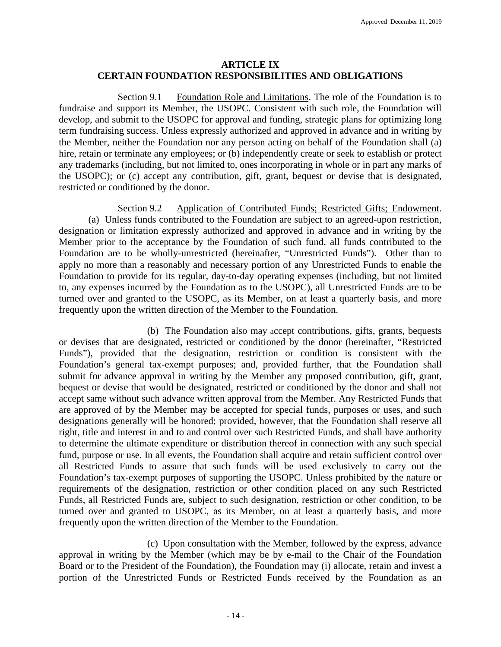# **ARTICLE IX CERTAIN FOUNDATION RESPONSIBILITIES AND OBLIGATIONS**

Section 9.1 Foundation Role and Limitations. The role of the Foundation is to fundraise and support its Member, the USOPC. Consistent with such role, the Foundation will develop, and submit to the USOPC for approval and funding, strategic plans for optimizing long term fundraising success. Unless expressly authorized and approved in advance and in writing by the Member, neither the Foundation nor any person acting on behalf of the Foundation shall (a) hire, retain or terminate any employees; or (b) independently create or seek to establish or protect any trademarks (including, but not limited to, ones incorporating in whole or in part any marks of the USOPC); or (c) accept any contribution, gift, grant, bequest or devise that is designated, restricted or conditioned by the donor.

Section 9.2 Application of Contributed Funds; Restricted Gifts; Endowment. (a) Unless funds contributed to the Foundation are subject to an agreed-upon restriction, designation or limitation expressly authorized and approved in advance and in writing by the Member prior to the acceptance by the Foundation of such fund, all funds contributed to the Foundation are to be wholly-unrestricted (hereinafter, "Unrestricted Funds"). Other than to apply no more than a reasonably and necessary portion of any Unrestricted Funds to enable the Foundation to provide for its regular, day-to-day operating expenses (including, but not limited to, any expenses incurred by the Foundation as to the USOPC), all Unrestricted Funds are to be turned over and granted to the USOPC, as its Member, on at least a quarterly basis, and more frequently upon the written direction of the Member to the Foundation.

(b) The Foundation also may accept contributions, gifts, grants, bequests or devises that are designated, restricted or conditioned by the donor (hereinafter, "Restricted Funds"), provided that the designation, restriction or condition is consistent with the Foundation's general tax-exempt purposes; and, provided further, that the Foundation shall submit for advance approval in writing by the Member any proposed contribution, gift, grant, bequest or devise that would be designated, restricted or conditioned by the donor and shall not accept same without such advance written approval from the Member. Any Restricted Funds that are approved of by the Member may be accepted for special funds, purposes or uses, and such designations generally will be honored; provided, however, that the Foundation shall reserve all right, title and interest in and to and control over such Restricted Funds, and shall have authority to determine the ultimate expenditure or distribution thereof in connection with any such special fund, purpose or use. In all events, the Foundation shall acquire and retain sufficient control over all Restricted Funds to assure that such funds will be used exclusively to carry out the Foundation's tax-exempt purposes of supporting the USOPC. Unless prohibited by the nature or requirements of the designation, restriction or other condition placed on any such Restricted Funds, all Restricted Funds are, subject to such designation, restriction or other condition, to be turned over and granted to USOPC, as its Member, on at least a quarterly basis, and more frequently upon the written direction of the Member to the Foundation.

(c) Upon consultation with the Member, followed by the express, advance approval in writing by the Member (which may be by e-mail to the Chair of the Foundation Board or to the President of the Foundation), the Foundation may (i) allocate, retain and invest a portion of the Unrestricted Funds or Restricted Funds received by the Foundation as an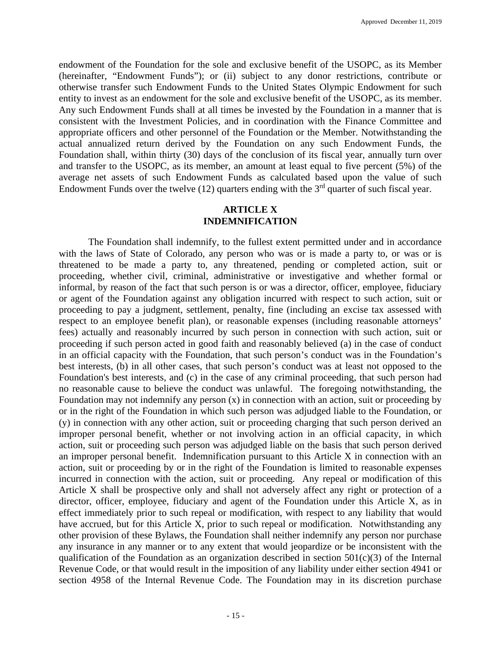endowment of the Foundation for the sole and exclusive benefit of the USOPC, as its Member (hereinafter, "Endowment Funds"); or (ii) subject to any donor restrictions, contribute or otherwise transfer such Endowment Funds to the United States Olympic Endowment for such entity to invest as an endowment for the sole and exclusive benefit of the USOPC, as its member. Any such Endowment Funds shall at all times be invested by the Foundation in a manner that is consistent with the Investment Policies, and in coordination with the Finance Committee and appropriate officers and other personnel of the Foundation or the Member. Notwithstanding the actual annualized return derived by the Foundation on any such Endowment Funds, the Foundation shall, within thirty (30) days of the conclusion of its fiscal year, annually turn over and transfer to the USOPC, as its member, an amount at least equal to five percent (5%) of the average net assets of such Endowment Funds as calculated based upon the value of such Endowment Funds over the twelve  $(12)$  quarters ending with the 3<sup>rd</sup> quarter of such fiscal year.

### **ARTICLE X INDEMNIFICATION**

The Foundation shall indemnify, to the fullest extent permitted under and in accordance with the laws of State of Colorado, any person who was or is made a party to, or was or is threatened to be made a party to, any threatened, pending or completed action, suit or proceeding, whether civil, criminal, administrative or investigative and whether formal or informal, by reason of the fact that such person is or was a director, officer, employee, fiduciary or agent of the Foundation against any obligation incurred with respect to such action, suit or proceeding to pay a judgment, settlement, penalty, fine (including an excise tax assessed with respect to an employee benefit plan), or reasonable expenses (including reasonable attorneys' fees) actually and reasonably incurred by such person in connection with such action, suit or proceeding if such person acted in good faith and reasonably believed (a) in the case of conduct in an official capacity with the Foundation, that such person's conduct was in the Foundation's best interests, (b) in all other cases, that such person's conduct was at least not opposed to the Foundation's best interests, and (c) in the case of any criminal proceeding, that such person had no reasonable cause to believe the conduct was unlawful. The foregoing notwithstanding, the Foundation may not indemnify any person  $(x)$  in connection with an action, suit or proceeding by or in the right of the Foundation in which such person was adjudged liable to the Foundation, or (y) in connection with any other action, suit or proceeding charging that such person derived an improper personal benefit, whether or not involving action in an official capacity, in which action, suit or proceeding such person was adjudged liable on the basis that such person derived an improper personal benefit. Indemnification pursuant to this Article X in connection with an action, suit or proceeding by or in the right of the Foundation is limited to reasonable expenses incurred in connection with the action, suit or proceeding. Any repeal or modification of this Article X shall be prospective only and shall not adversely affect any right or protection of a director, officer, employee, fiduciary and agent of the Foundation under this Article X, as in effect immediately prior to such repeal or modification, with respect to any liability that would have accrued, but for this Article X, prior to such repeal or modification. Notwithstanding any other provision of these Bylaws, the Foundation shall neither indemnify any person nor purchase any insurance in any manner or to any extent that would jeopardize or be inconsistent with the qualification of the Foundation as an organization described in section  $501(c)(3)$  of the Internal Revenue Code, or that would result in the imposition of any liability under either section 4941 or section 4958 of the Internal Revenue Code. The Foundation may in its discretion purchase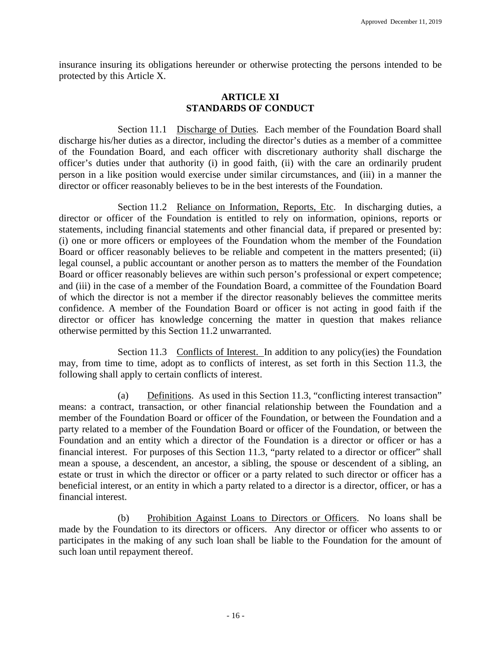insurance insuring its obligations hereunder or otherwise protecting the persons intended to be protected by this Article X.

### **ARTICLE XI STANDARDS OF CONDUCT**

Section 11.1 Discharge of Duties. Each member of the Foundation Board shall discharge his/her duties as a director, including the director's duties as a member of a committee of the Foundation Board, and each officer with discretionary authority shall discharge the officer's duties under that authority (i) in good faith, (ii) with the care an ordinarily prudent person in a like position would exercise under similar circumstances, and (iii) in a manner the director or officer reasonably believes to be in the best interests of the Foundation.

Section 11.2 Reliance on Information, Reports, Etc. In discharging duties, a director or officer of the Foundation is entitled to rely on information, opinions, reports or statements, including financial statements and other financial data, if prepared or presented by: (i) one or more officers or employees of the Foundation whom the member of the Foundation Board or officer reasonably believes to be reliable and competent in the matters presented; (ii) legal counsel, a public accountant or another person as to matters the member of the Foundation Board or officer reasonably believes are within such person's professional or expert competence; and (iii) in the case of a member of the Foundation Board, a committee of the Foundation Board of which the director is not a member if the director reasonably believes the committee merits confidence. A member of the Foundation Board or officer is not acting in good faith if the director or officer has knowledge concerning the matter in question that makes reliance otherwise permitted by this Section 11.2 unwarranted.

Section 11.3 Conflicts of Interest. In addition to any policy(ies) the Foundation may, from time to time, adopt as to conflicts of interest, as set forth in this Section 11.3, the following shall apply to certain conflicts of interest.

(a) Definitions. As used in this Section 11.3, "conflicting interest transaction" means: a contract, transaction, or other financial relationship between the Foundation and a member of the Foundation Board or officer of the Foundation, or between the Foundation and a party related to a member of the Foundation Board or officer of the Foundation, or between the Foundation and an entity which a director of the Foundation is a director or officer or has a financial interest. For purposes of this Section 11.3, "party related to a director or officer" shall mean a spouse, a descendent, an ancestor, a sibling, the spouse or descendent of a sibling, an estate or trust in which the director or officer or a party related to such director or officer has a beneficial interest, or an entity in which a party related to a director is a director, officer, or has a financial interest.

(b) Prohibition Against Loans to Directors or Officers. No loans shall be made by the Foundation to its directors or officers. Any director or officer who assents to or participates in the making of any such loan shall be liable to the Foundation for the amount of such loan until repayment thereof.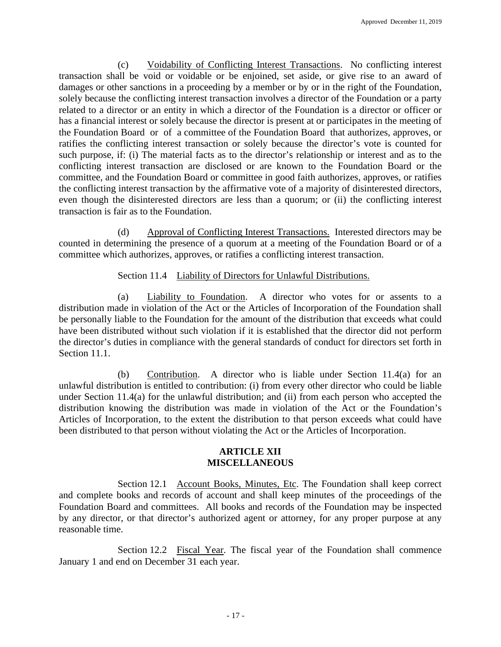(c) Voidability of Conflicting Interest Transactions. No conflicting interest transaction shall be void or voidable or be enjoined, set aside, or give rise to an award of damages or other sanctions in a proceeding by a member or by or in the right of the Foundation, solely because the conflicting interest transaction involves a director of the Foundation or a party related to a director or an entity in which a director of the Foundation is a director or officer or has a financial interest or solely because the director is present at or participates in the meeting of the Foundation Board or of a committee of the Foundation Board that authorizes, approves, or ratifies the conflicting interest transaction or solely because the director's vote is counted for such purpose, if: (i) The material facts as to the director's relationship or interest and as to the conflicting interest transaction are disclosed or are known to the Foundation Board or the committee, and the Foundation Board or committee in good faith authorizes, approves, or ratifies the conflicting interest transaction by the affirmative vote of a majority of disinterested directors, even though the disinterested directors are less than a quorum; or (ii) the conflicting interest transaction is fair as to the Foundation.

(d) Approval of Conflicting Interest Transactions. Interested directors may be counted in determining the presence of a quorum at a meeting of the Foundation Board or of a committee which authorizes, approves, or ratifies a conflicting interest transaction.

Section 11.4 Liability of Directors for Unlawful Distributions.

(a) Liability to Foundation. A director who votes for or assents to a distribution made in violation of the Act or the Articles of Incorporation of the Foundation shall be personally liable to the Foundation for the amount of the distribution that exceeds what could have been distributed without such violation if it is established that the director did not perform the director's duties in compliance with the general standards of conduct for directors set forth in Section 11.1.

(b) Contribution. A director who is liable under Section 11.4(a) for an unlawful distribution is entitled to contribution: (i) from every other director who could be liable under Section 11.4(a) for the unlawful distribution; and (ii) from each person who accepted the distribution knowing the distribution was made in violation of the Act or the Foundation's Articles of Incorporation, to the extent the distribution to that person exceeds what could have been distributed to that person without violating the Act or the Articles of Incorporation.

# **ARTICLE XII MISCELLANEOUS**

Section 12.1 Account Books, Minutes, Etc. The Foundation shall keep correct and complete books and records of account and shall keep minutes of the proceedings of the Foundation Board and committees. All books and records of the Foundation may be inspected by any director, or that director's authorized agent or attorney, for any proper purpose at any reasonable time.

Section 12.2 Fiscal Year. The fiscal year of the Foundation shall commence January 1 and end on December 31 each year.